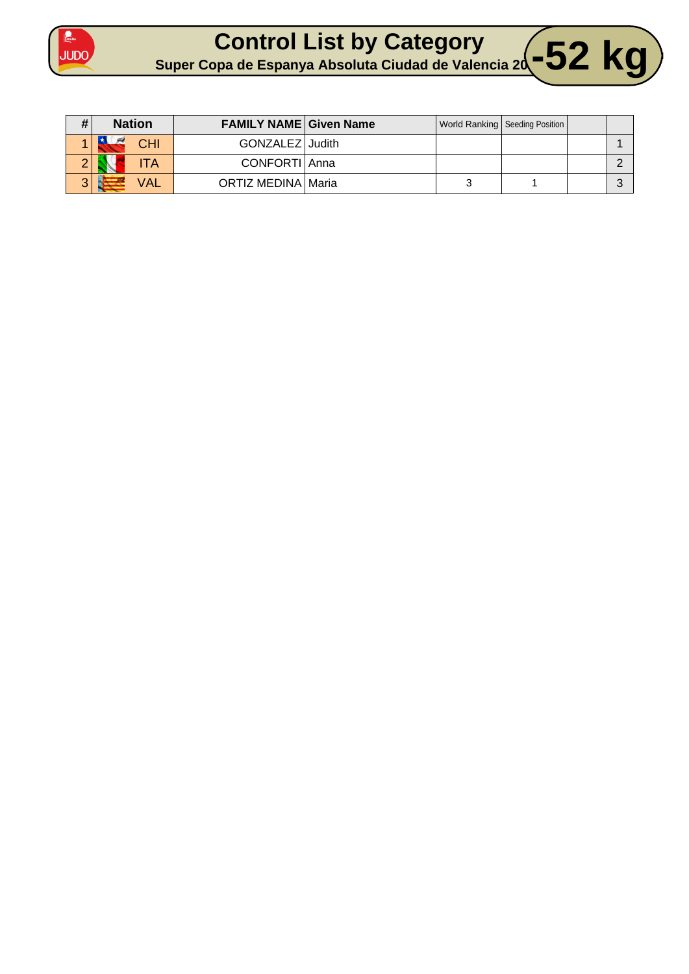



| # | <b>Nation</b> | <b>FAMILY NAME Given Name</b> |  | World Ranking   Seeding Position |  |
|---|---------------|-------------------------------|--|----------------------------------|--|
|   | CHI           | GONZALEZ Judith               |  |                                  |  |
|   | TA            | CONFORTI Anna                 |  |                                  |  |
|   | <b>VAL</b>    | ORTIZ MEDINA   Maria          |  |                                  |  |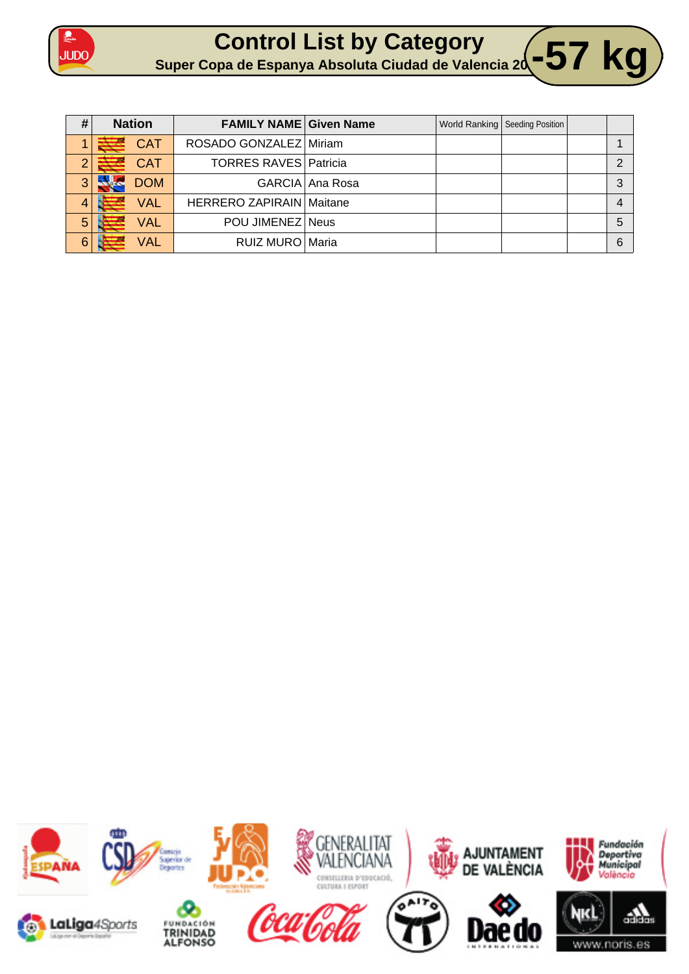

**Control List by Category Super Copa de Espanya Absoluta Ciudad de Valencia 20 -57 kg** 

| #              | <b>Nation</b> | <b>FAMILY NAME Given Name</b>   |                 | World Ranking   Seeding Position |   |
|----------------|---------------|---------------------------------|-----------------|----------------------------------|---|
|                | <b>CAT</b>    | ROSADO GONZALEZ Miriam          |                 |                                  |   |
| $\overline{2}$ | <b>CAT</b>    | <b>TORRES RAVES Patricia</b>    |                 |                                  |   |
| 3              | <b>DOM</b>    |                                 | GARCIA Ana Rosa |                                  | 3 |
| 4              | <b>VAL</b>    | <b>HERRERO ZAPIRAIN Maitane</b> |                 |                                  |   |
| 5              | <b>VAL</b>    | POU JIMENEZ Neus                |                 |                                  | 5 |
| 6              | <b>VAL</b>    | RUIZ MURO Maria                 |                 |                                  | 6 |

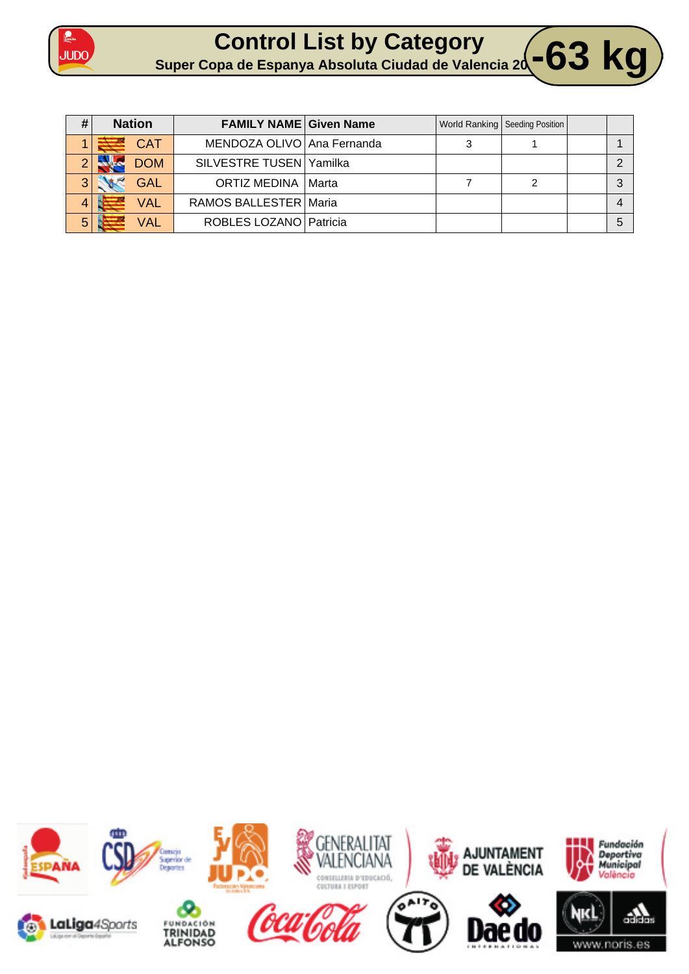

| #             | <b>Nation</b> | <b>FAMILY NAME Given Name</b> |  | World Ranking   Seeding Position |  |
|---------------|---------------|-------------------------------|--|----------------------------------|--|
|               | <b>CAT</b>    | MENDOZA OLIVO Ana Fernanda    |  |                                  |  |
| $\mathcal{O}$ | <b>DOM</b>    | SILVESTRE TUSEN Yamilka       |  |                                  |  |
| 3             | <b>GAL</b>    | <b>ORTIZ MEDINA   Marta</b>   |  |                                  |  |
|               | <b>VAL</b>    | RAMOS BALLESTER   Maria       |  |                                  |  |
| 5             | <b>VAL</b>    | ROBLES LOZANO   Patricia      |  |                                  |  |

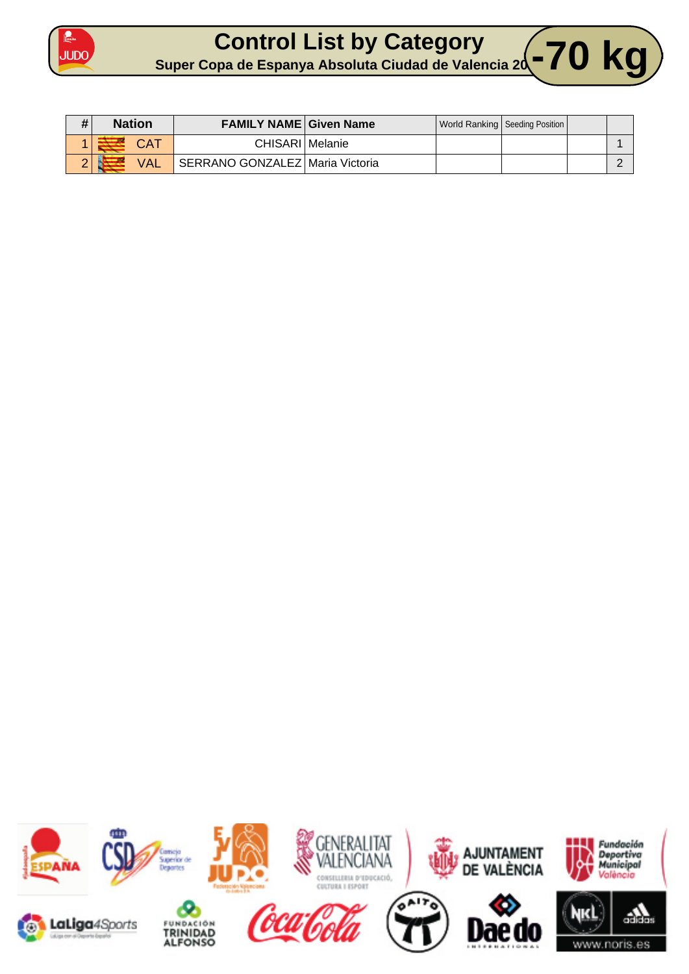



| # | <b>Nation</b> | <b>FAMILY NAME Given Name</b>   |  | World Ranking   Seeding Position |  |
|---|---------------|---------------------------------|--|----------------------------------|--|
|   |               | CHISARI   Melanie               |  |                                  |  |
|   | <b>VAL</b>    | SERRANO GONZALEZ Maria Victoria |  |                                  |  |

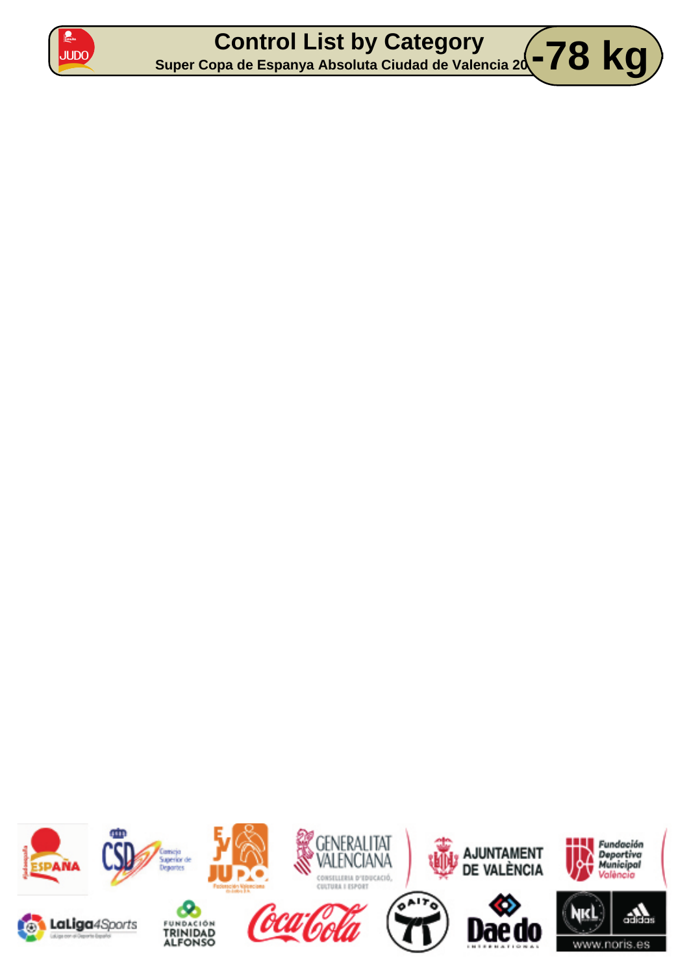